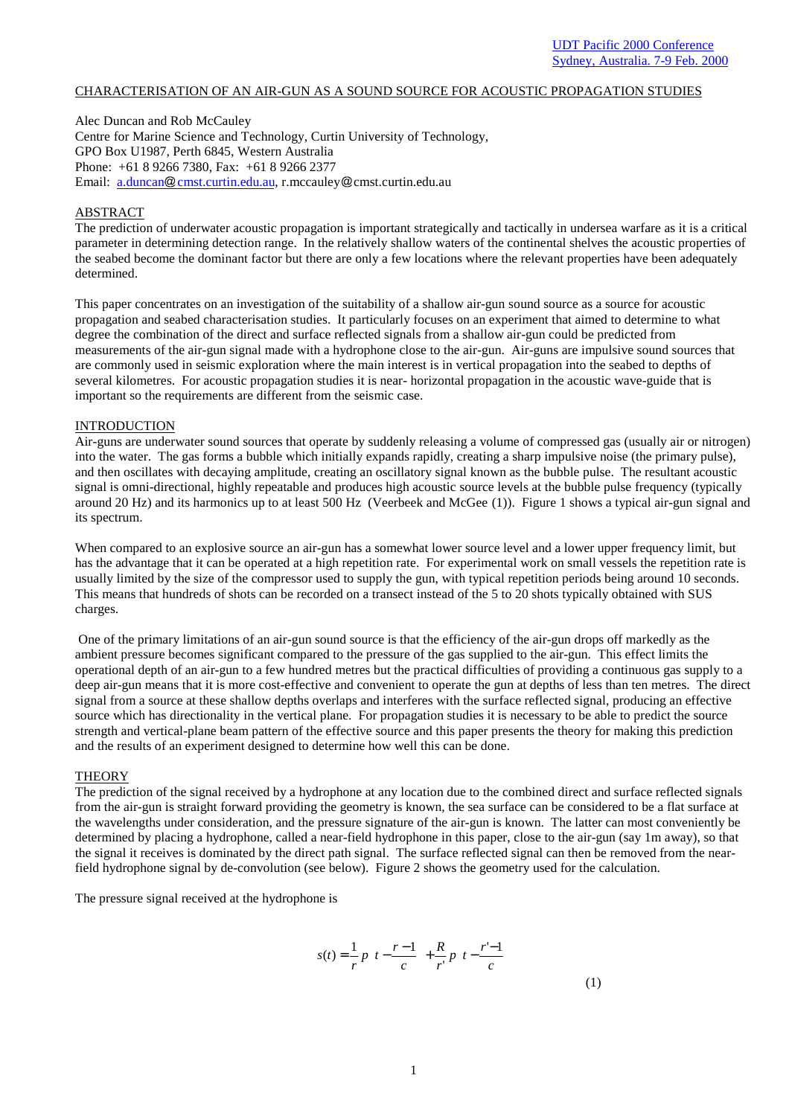### CHARACTERISATION OF AN AIR-GUN AS A SOUND SOURCE FOR ACOUSTIC PROPAGATION STUDIES

Alec Duncan and Rob McCauley Centre for Marine Science and Technology, Curtin University of Technology, GPO Box U1987, Perth 6845, Western Australia Phone: +61 8 9266 7380, Fax: +61 8 9266 2377 Email: a.duncan@cmst.curtin.edu.au, r.mccauley@cmst.curtin.edu.au

### ABSTRACT

The prediction of underwater acoustic propagation is important strategically and tactically in undersea warfare as it is a critical parameter in determining detection range. In the relatively shallow waters of the continental shelves the acoustic properties of the seabed become the dominant factor but there are only a few locations where the relevant properties have been adequately determined.

This paper concentrates on an investigation of the suitability of a shallow air-gun sound source as a source for acoustic propagation and seabed characterisation studies. It particularly focuses on an experiment that aimed to determine to what degree the combination of the direct and surface reflected signals from a shallow air-gun could be predicted from measurements of the air-gun signal made with a hydrophone close to the air-gun. Air-guns are impulsive sound sources that are commonly used in seismic exploration where the main interest is in vertical propagation into the seabed to depths of several kilometres. For acoustic propagation studies it is near- horizontal propagation in the acoustic wave-guide that is important so the requirements are different from the seismic case.

## INTRODUCTION

Air-guns are underwater sound sources that operate by suddenly releasing a volume of compressed gas (usually air or nitrogen) into the water. The gas forms a bubble which initially expands rapidly, creating a sharp impulsive noise (the primary pulse), and then oscillates with decaying amplitude, creating an oscillatory signal known as the bubble pulse. The resultant acoustic signal is omni-directional, highly repeatable and produces high acoustic source levels at the bubble pulse frequency (typically around 20 Hz) and its harmonics up to at least 500 Hz (Veerbeek and McGee (1)). Figure 1 shows a typical air-gun signal and its spectrum.

When compared to an explosive source an air-gun has a somewhat lower source level and a lower upper frequency limit, but has the advantage that it can be operated at a high repetition rate. For experimental work on small vessels the repetition rate is usually limited by the size of the compressor used to supply the gun, with typical repetition periods being around 10 seconds. This means that hundreds of shots can be recorded on a transect instead of the 5 to 20 shots typically obtained with SUS charges.

 One of the primary limitations of an air-gun sound source is that the efficiency of the air-gun drops off markedly as the ambient pressure becomes significant compared to the pressure of the gas supplied to the air-gun. This effect limits the operational depth of an air-gun to a few hundred metres but the practical difficulties of providing a continuous gas supply to a deep air-gun means that it is more cost-effective and convenient to operate the gun at depths of less than ten metres. The direct signal from a source at these shallow depths overlaps and interferes with the surface reflected signal, producing an effective source which has directionality in the vertical plane. For propagation studies it is necessary to be able to predict the source strength and vertical-plane beam pattern of the effective source and this paper presents the theory for making this prediction and the results of an experiment designed to determine how well this can be done.

#### **THEORY**

The prediction of the signal received by a hydrophone at any location due to the combined direct and surface reflected signals from the air-gun is straight forward providing the geometry is known, the sea surface can be considered to be a flat surface at the wavelengths under consideration, and the pressure signature of the air-gun is known. The latter can most conveniently be determined by placing a hydrophone, called a near-field hydrophone in this paper, close to the air-gun (say 1m away), so that the signal it receives is dominated by the direct path signal. The surface reflected signal can then be removed from the nearfield hydrophone signal by de-convolution (see below). Figure 2 shows the geometry used for the calculation.

The pressure signal received at the hydrophone is

$$
s(t) = \frac{1}{r} p \left( t - \frac{r-1}{c} \right) + \frac{R}{r'} p \left( t - \frac{r'-1}{c} \right)
$$
\n(1)

1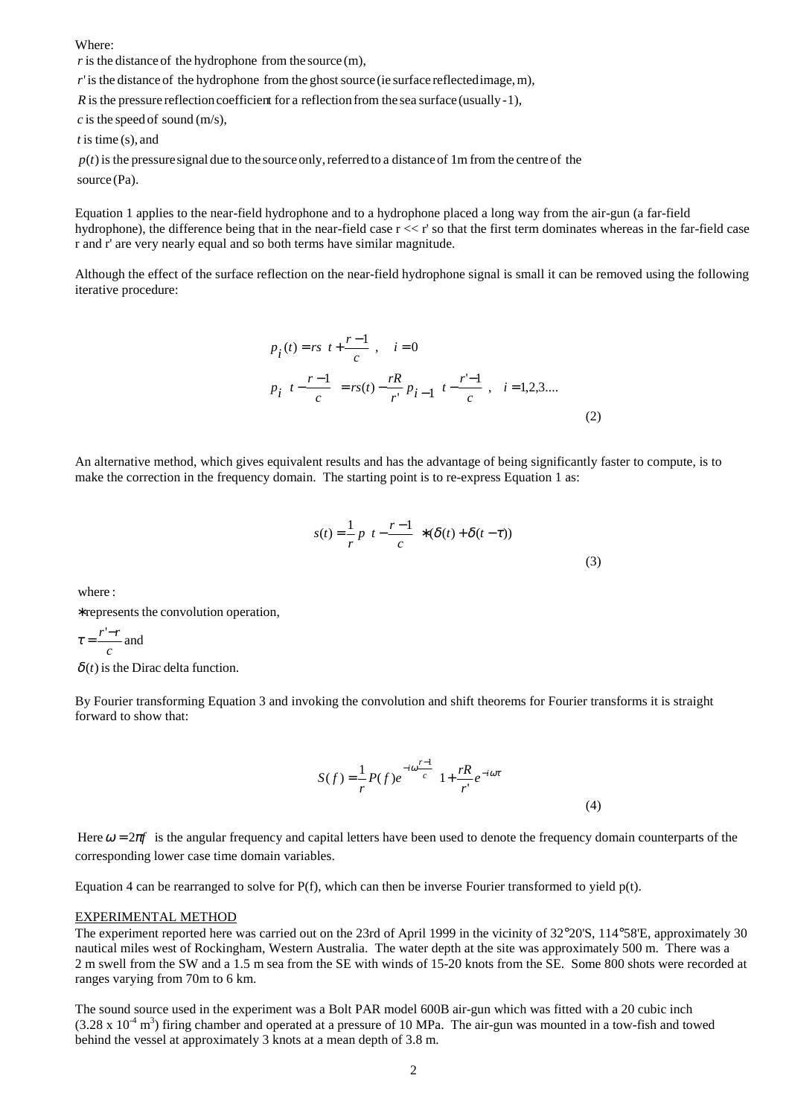Where:

 $r$  is the distance of the hydrophone from the source  $(m)$ ,

'is the distance of the hydrophone from the ghost source (ie surface reflectedimage,m), *r*

 $\overline{R}$  is the pressure reflection coefficient for a reflection from the sea surface (usually -1),

 $c$  is the speed of sound  $(m/s)$ ,

t is time (s), and

 $p(t)$  is the pressure signal due to the source only, referred to a distance of 1m from the centre of the

source (Pa).

Equation 1 applies to the near-field hydrophone and to a hydrophone placed a long way from the air-gun (a far-field hydrophone), the difference being that in the near-field case r << r' so that the first term dominates whereas in the far-field case r and r' are very nearly equal and so both terms have similar magnitude.

Although the effect of the surface reflection on the near-field hydrophone signal is small it can be removed using the following iterative procedure:

$$
p_i(t) = rs \left( t + \frac{r-1}{c} \right) \quad i = 0
$$
  

$$
p_i \left( t - \frac{r-1}{c} \right) = rs(t) - \frac{rR}{r'} p_{i-1} \left( t - \frac{r'-1}{c} \right) \quad i = 1, 2, 3, \dots
$$
 (2)

An alternative method, which gives equivalent results and has the advantage of being significantly faster to compute, is to make the correction in the frequency domain. The starting point is to re-express Equation 1 as:

$$
s(t) = \frac{1}{r} p \left( t - \frac{r-1}{c} \right) * (\delta(t) + \delta(t-\tau))
$$
\n(3)

where :

represents the convolution operation, ∗

$$
\tau = \frac{r'-r}{c}
$$
 and

 $\delta(t)$  is the Dirac delta function.

By Fourier transforming Equation 3 and invoking the convolution and shift theorems for Fourier transforms it is straight forward to show that:

$$
S(f) = \frac{1}{r} P(f)e^{-i\omega \frac{r-1}{c}} \left( 1 + \frac{rR}{r'} e^{-i\omega t} \right)
$$
\n(4)

Here  $\omega = 2\pi f$  is the angular frequency and capital letters have been used to denote the frequency domain counterparts of the corresponding lower case time domain variables.

Equation 4 can be rearranged to solve for  $P(f)$ , which can then be inverse Fourier transformed to yield  $p(t)$ .

#### EXPERIMENTAL METHOD

The experiment reported here was carried out on the 23rd of April 1999 in the vicinity of 32°20'S, 114°58'E, approximately 30 nautical miles west of Rockingham, Western Australia. The water depth at the site was approximately 500 m. There was a 2 m swell from the SW and a 1.5 m sea from the SE with winds of 15-20 knots from the SE. Some 800 shots were recorded at ranges varying from 70m to 6 km.

The sound source used in the experiment was a Bolt PAR model 600B air-gun which was fitted with a 20 cubic inch  $(3.28 \times 10^{-4} \text{ m}^3)$  firing chamber and operated at a pressure of 10 MPa. The air-gun was mounted in a tow-fish and towed behind the vessel at approximately 3 knots at a mean depth of 3.8 m.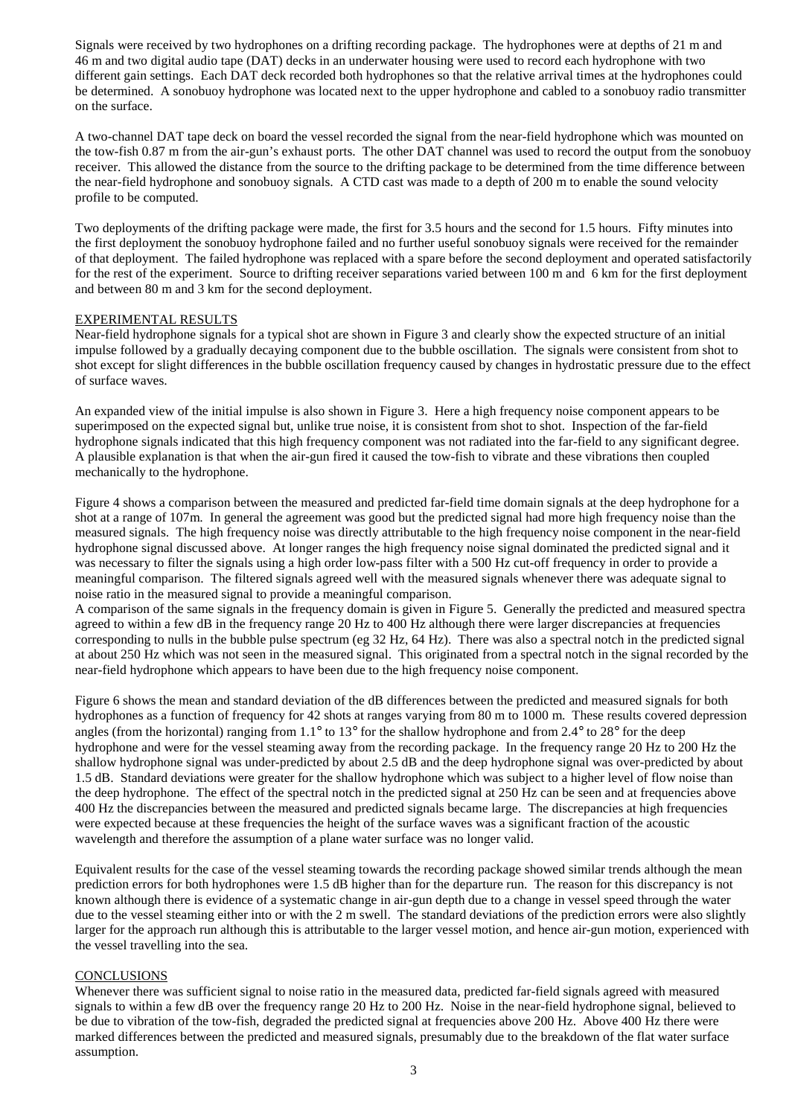Signals were received by two hydrophones on a drifting recording package. The hydrophones were at depths of 21 m and 46 m and two digital audio tape (DAT) decks in an underwater housing were used to record each hydrophone with two different gain settings. Each DAT deck recorded both hydrophones so that the relative arrival times at the hydrophones could be determined. A sonobuoy hydrophone was located next to the upper hydrophone and cabled to a sonobuoy radio transmitter on the surface.

A two-channel DAT tape deck on board the vessel recorded the signal from the near-field hydrophone which was mounted on the tow-fish 0.87 m from the air-gun's exhaust ports. The other DAT channel was used to record the output from the sonobuoy receiver. This allowed the distance from the source to the drifting package to be determined from the time difference between the near-field hydrophone and sonobuoy signals. A CTD cast was made to a depth of 200 m to enable the sound velocity profile to be computed.

Two deployments of the drifting package were made, the first for 3.5 hours and the second for 1.5 hours. Fifty minutes into the first deployment the sonobuoy hydrophone failed and no further useful sonobuoy signals were received for the remainder of that deployment. The failed hydrophone was replaced with a spare before the second deployment and operated satisfactorily for the rest of the experiment. Source to drifting receiver separations varied between 100 m and 6 km for the first deployment and between 80 m and 3 km for the second deployment.

## EXPERIMENTAL RESULTS

Near-field hydrophone signals for a typical shot are shown in Figure 3 and clearly show the expected structure of an initial impulse followed by a gradually decaying component due to the bubble oscillation. The signals were consistent from shot to shot except for slight differences in the bubble oscillation frequency caused by changes in hydrostatic pressure due to the effect of surface waves.

An expanded view of the initial impulse is also shown in Figure 3. Here a high frequency noise component appears to be superimposed on the expected signal but, unlike true noise, it is consistent from shot to shot. Inspection of the far-field hydrophone signals indicated that this high frequency component was not radiated into the far-field to any significant degree. A plausible explanation is that when the air-gun fired it caused the tow-fish to vibrate and these vibrations then coupled mechanically to the hydrophone.

Figure 4 shows a comparison between the measured and predicted far-field time domain signals at the deep hydrophone for a shot at a range of 107m. In general the agreement was good but the predicted signal had more high frequency noise than the measured signals. The high frequency noise was directly attributable to the high frequency noise component in the near-field hydrophone signal discussed above. At longer ranges the high frequency noise signal dominated the predicted signal and it was necessary to filter the signals using a high order low-pass filter with a 500 Hz cut-off frequency in order to provide a meaningful comparison. The filtered signals agreed well with the measured signals whenever there was adequate signal to noise ratio in the measured signal to provide a meaningful comparison.

A comparison of the same signals in the frequency domain is given in Figure 5. Generally the predicted and measured spectra agreed to within a few dB in the frequency range 20 Hz to 400 Hz although there were larger discrepancies at frequencies corresponding to nulls in the bubble pulse spectrum (eg 32 Hz, 64 Hz). There was also a spectral notch in the predicted signal at about 250 Hz which was not seen in the measured signal. This originated from a spectral notch in the signal recorded by the near-field hydrophone which appears to have been due to the high frequency noise component.

Figure 6 shows the mean and standard deviation of the dB differences between the predicted and measured signals for both hydrophones as a function of frequency for 42 shots at ranges varying from 80 m to 1000 m. These results covered depression angles (from the horizontal) ranging from  $1.1^\circ$  to  $13^\circ$  for the shallow hydrophone and from  $2.4^\circ$  to  $28^\circ$  for the deep hydrophone and were for the vessel steaming away from the recording package. In the frequency range 20 Hz to 200 Hz the shallow hydrophone signal was under-predicted by about 2.5 dB and the deep hydrophone signal was over-predicted by about 1.5 dB. Standard deviations were greater for the shallow hydrophone which was subject to a higher level of flow noise than the deep hydrophone. The effect of the spectral notch in the predicted signal at 250 Hz can be seen and at frequencies above 400 Hz the discrepancies between the measured and predicted signals became large. The discrepancies at high frequencies were expected because at these frequencies the height of the surface waves was a significant fraction of the acoustic wavelength and therefore the assumption of a plane water surface was no longer valid.

Equivalent results for the case of the vessel steaming towards the recording package showed similar trends although the mean prediction errors for both hydrophones were 1.5 dB higher than for the departure run. The reason for this discrepancy is not known although there is evidence of a systematic change in air-gun depth due to a change in vessel speed through the water due to the vessel steaming either into or with the 2 m swell. The standard deviations of the prediction errors were also slightly larger for the approach run although this is attributable to the larger vessel motion, and hence air-gun motion, experienced with the vessel travelling into the sea.

# **CONCLUSIONS**

Whenever there was sufficient signal to noise ratio in the measured data, predicted far-field signals agreed with measured signals to within a few dB over the frequency range 20 Hz to 200 Hz. Noise in the near-field hydrophone signal, believed to be due to vibration of the tow-fish, degraded the predicted signal at frequencies above 200 Hz. Above 400 Hz there were marked differences between the predicted and measured signals, presumably due to the breakdown of the flat water surface assumption.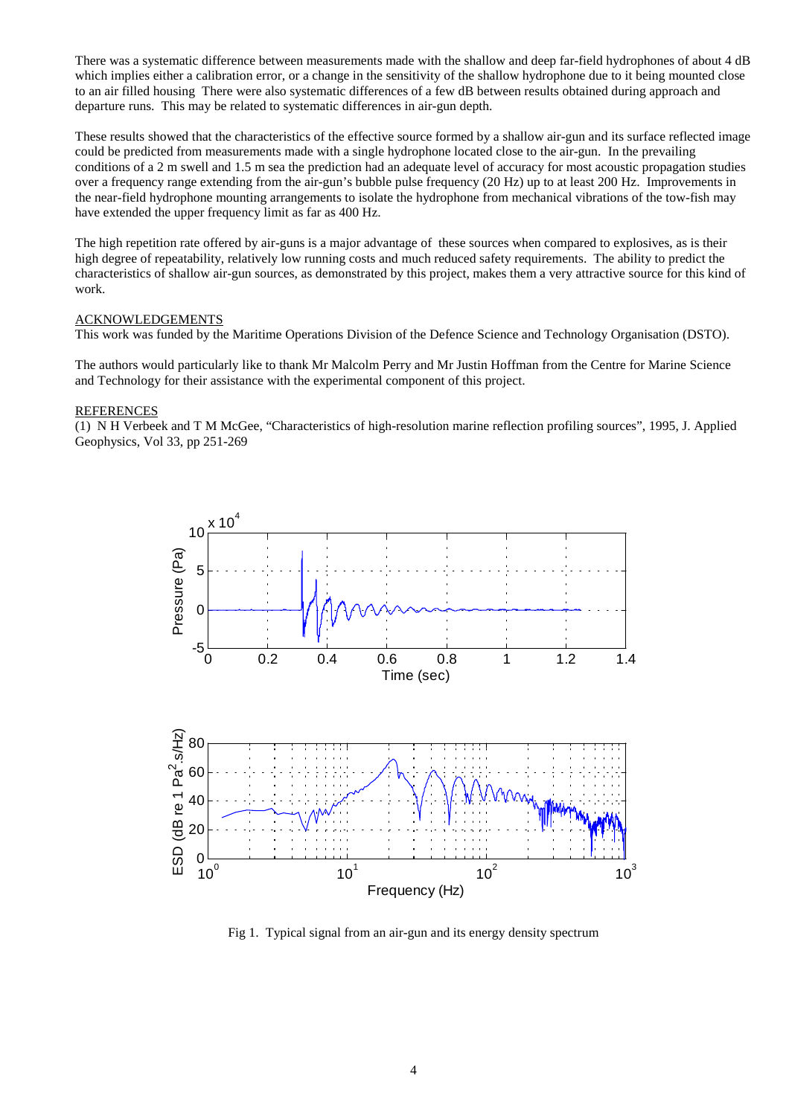There was a systematic difference between measurements made with the shallow and deep far-field hydrophones of about 4 dB which implies either a calibration error, or a change in the sensitivity of the shallow hydrophone due to it being mounted close to an air filled housing There were also systematic differences of a few dB between results obtained during approach and departure runs. This may be related to systematic differences in air-gun depth.

These results showed that the characteristics of the effective source formed by a shallow air-gun and its surface reflected image could be predicted from measurements made with a single hydrophone located close to the air-gun. In the prevailing conditions of a 2 m swell and 1.5 m sea the prediction had an adequate level of accuracy for most acoustic propagation studies over a frequency range extending from the air-gun's bubble pulse frequency (20 Hz) up to at least 200 Hz. Improvements in the near-field hydrophone mounting arrangements to isolate the hydrophone from mechanical vibrations of the tow-fish may have extended the upper frequency limit as far as 400 Hz.

The high repetition rate offered by air-guns is a major advantage of these sources when compared to explosives, as is their high degree of repeatability, relatively low running costs and much reduced safety requirements. The ability to predict the characteristics of shallow air-gun sources, as demonstrated by this project, makes them a very attractive source for this kind of work.

### ACKNOWLEDGEMENTS

This work was funded by the Maritime Operations Division of the Defence Science and Technology Organisation (DSTO).

The authors would particularly like to thank Mr Malcolm Perry and Mr Justin Hoffman from the Centre for Marine Science and Technology for their assistance with the experimental component of this project.

## **REFERENCES**

(1) N H Verbeek and T M McGee, "Characteristics of high-resolution marine reflection profiling sources", 1995, J. Applied Geophysics, Vol 33, pp 251-269



Fig 1. Typical signal from an air-gun and its energy density spectrum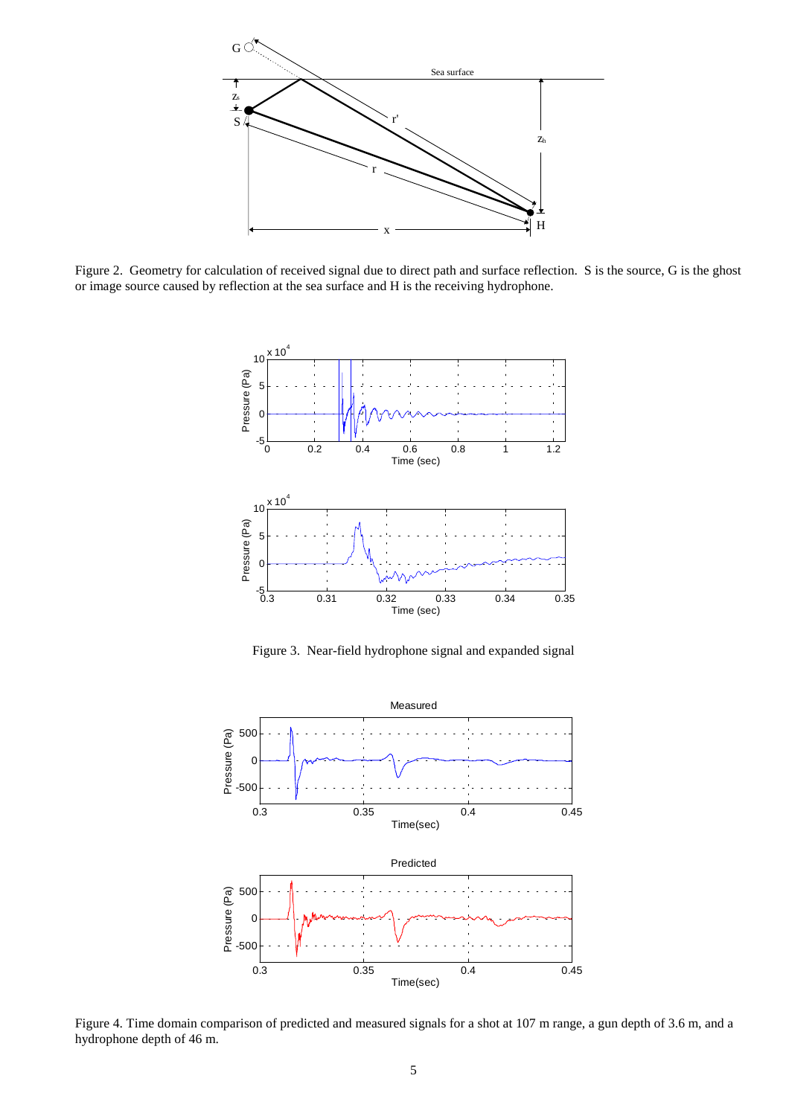

Figure 2. Geometry for calculation of received signal due to direct path and surface reflection. S is the source, G is the ghost or image source caused by reflection at the sea surface and H is the receiving hydrophone.



Figure 3. Near-field hydrophone signal and expanded signal



Figure 4. Time domain comparison of predicted and measured signals for a shot at 107 m range, a gun depth of 3.6 m, and a hydrophone depth of 46 m.